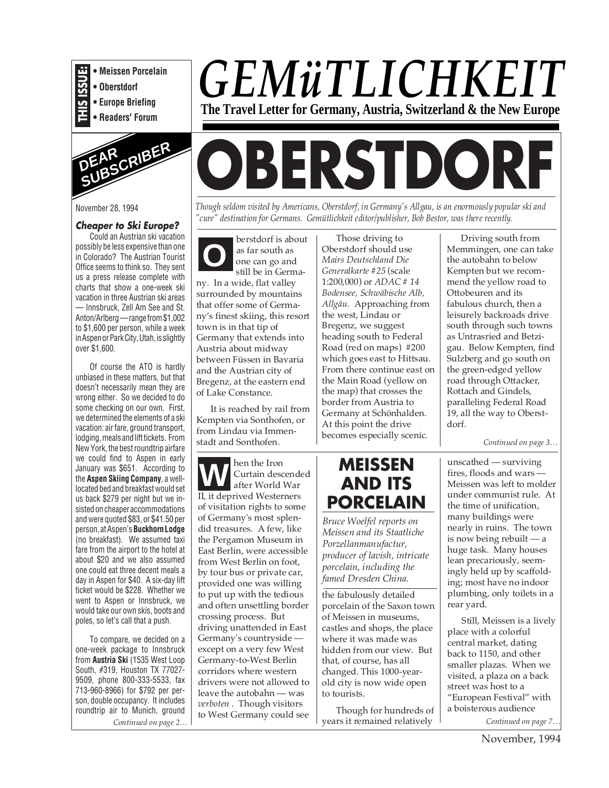

**• Oberstdorf**

- **Europe Briefing**
- **Readers' Forum**



November 28, 1994

#### **Cheaper to Ski Europe?**

Could an Austrian ski vacation possibly be less expensive than one in Colorado? The Austrian Tourist Office seems to think so. They sent us a press release complete with charts that show a one-week ski vacation in three Austrian ski areas — Innsbruck, Zell Am See and St. Anton/Arlberg — range from \$1,002 to \$1,600 per person, while a week in Aspen or Park City, Utah, is slightly over \$1,600.

Of course the ATO is hardly unbiased in these matters, but that doesn't necessarily mean they are wrong either. So we decided to do some checking on our own. First, we determined the elements of a ski vacation: air fare, ground transport, lodging, meals and lift tickets. From New York, the best roundtrip airfare we could find to Aspen in early January was \$651. According to the **Aspen Skiing Company**, a welllocated bed and breakfast would set us back \$279 per night but we insisted on cheaper accommodations and were quoted \$83, or \$41.50 per person, at Aspen's **Buckhorn Lodge** (no breakfast). We assumed taxi fare from the airport to the hotel at about \$20 and we also assumed one could eat three decent meals a day in Aspen for \$40. A six-day lift ticket would be \$228. Whether we went to Aspen or Innsbruck, we would take our own skis, boots and poles, so let's call that a push.

To compare, we decided on a one-week package to Innsbruck from **Austria Ski** (1535 West Loop South, #319, Houston TX 77027- 9509, phone 800-333-5533, fax 713-960-8966) for \$792 per person, double occupancy. It includes roundtrip air to Munich, ground *Continued on page 2…*

## *GEMüTLICHKEIT* **The Travel Letter for Germany, Austria, Switzerland & the New Europe**

# **OBERSTDORF**

*Though seldom visited by Americans, Oberstdorf, in Germany's Allgau, is an enormously popular ski and "cure" destination for Germans. Gemütlichkeit editor/publisher, Bob Bestor, was there recently.*

**O** berstdorf is about as far south as one can go and still be in Germany. In a wide, flat valley surrounded by mountains that offer some of Germany's finest skiing, this resort town is in that tip of Germany that extends into Austria about midway between Füssen in Bavaria and the Austrian city of Bregenz, at the eastern end of Lake Constance.

It is reached by rail from Kempten via Sonthofen, or from Lindau via Immenstadt and Sonthofen.

hen the Iron Curtain descended after World War II, it deprived Westerners of visitation rights to some of Germany's most splendid treasures. A few, like the Pergamon Museum in East Berlin, were accessible from West Berlin on foot, by tour bus or private car, provided one was willing to put up with the tedious and often unsettling border crossing process. But driving unattended in East Germany's countryside except on a very few West Germany-to-West Berlin corridors where western drivers were not allowed to leave the autobahn — was *verboten* . Though visitors to West Germany could see **WEISSEN** unscathed — surviving<br>after World War **AND ITS** MEISSEN Meissen was left to mol

Those driving to Oberstdorf should use *Mairs Deutschland Die Generalkarte #25* (scale 1:200,000) or *ADAC # 14 Bodensee, Schwäbische Alb, Allgäu.* Approaching from the west, Lindau or Bregenz, we suggest heading south to Federal Road (red on maps) #200 which goes east to Hittsau. From there continue east on the Main Road (yellow on the map) that crosses the border from Austria to Germany at Schönhalden. At this point the drive becomes especially scenic. *Continued on page 3…*



*Bruce Woelfel reports on Meissen and its Staatliche Porzellanmanufactur, producer of lavish, intricate porcelain, including the famed Dresden China.*

the fabulously detailed porcelain of the Saxon town of Meissen in museums, castles and shops, the place where it was made was hidden from our view. But that, of course, has all changed. This 1000-yearold city is now wide open to tourists.

Though for hundreds of years it remained relatively

Driving south from Memmingen, one can take the autobahn to below Kempten but we recommend the yellow road to Ottobeuren and its fabulous church, then a leisurely backroads drive south through such towns as Untrasried and Betzigau. Below Kempten, find Sulzberg and go south on the green-edged yellow road through Ottacker, Rottach and Gindels, paralleling Federal Road 19, all the way to Oberstdorf.

fires, floods and wars — Meissen was left to molder under communist rule. At the time of unification, many buildings were nearly in ruins. The town is now being rebuilt — a huge task. Many houses lean precariously, seemingly held up by scaffolding; most have no indoor plumbing, only toilets in a rear yard.

*Continued on page 7…* Still, Meissen is a lively place with a colorful central market, dating back to 1150, and other smaller plazas. When we visited, a plaza on a back street was host to a "European Festival" with a boisterous audience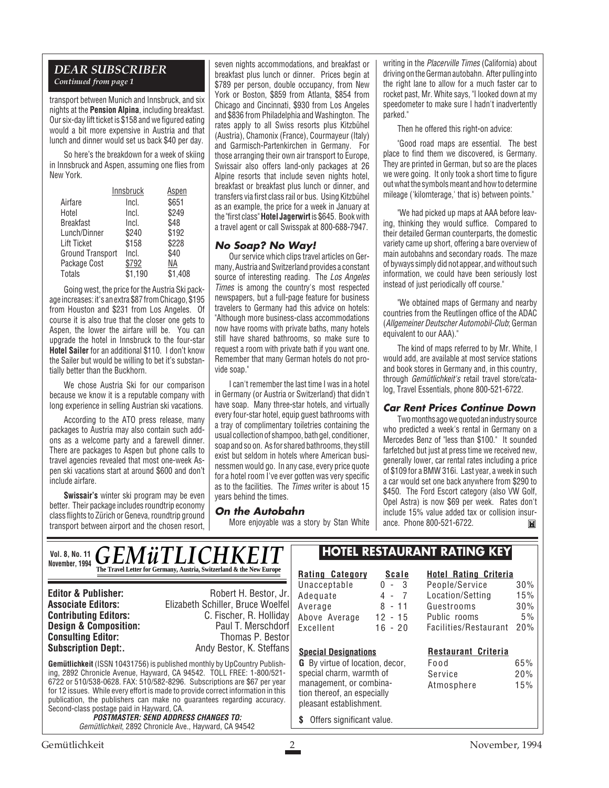#### *DEAR SUBSCRIBER Continued from page 1*

transport between Munich and Innsbruck, and six nights at the **Pension Alpina**, including breakfast. Our six-day lift ticket is \$158 and we figured eating would a bit more expensive in Austria and that lunch and dinner would set us back \$40 per day.

So here's the breakdown for a week of skiing in Innsbruck and Aspen, assuming one flies from New York.

|                         | Innsbruck | <u>Aspen</u> |
|-------------------------|-----------|--------------|
| Airfare                 | Incl.     | \$651        |
| Hotel                   | Incl.     | \$249        |
| <b>Breakfast</b>        | Incl.     | \$48         |
| Lunch/Dinner            | \$240     | \$192        |
| <b>Lift Ticket</b>      | \$158     | \$228        |
| <b>Ground Transport</b> | Incl.     | \$40         |
| Package Cost            | \$792     | ΝA           |
| Totals                  | \$1,190   | \$1,408      |

Going west, the price for the Austria Ski package increases: it's an extra \$87 from Chicago, \$195 from Houston and \$231 from Los Angeles. Of course it is also true that the closer one gets to Aspen, the lower the airfare will be. You can upgrade the hotel in Innsbruck to the four-star **Hotel Sailer** for an additional \$110. I don't know the Sailer but would be willing to bet it's substantially better than the Buckhorn.

We chose Austria Ski for our comparison because we know it is a reputable company with long experience in selling Austrian ski vacations.

According to the ATO press release, many packages to Austria may also contain such addons as a welcome party and a farewell dinner. There are packages to Aspen but phone calls to travel agencies revealed that most one-week Aspen ski vacations start at around \$600 and don't include airfare.

**Swissair's** winter ski program may be even better. Their package includes roundtrip economy class flights to Zürich or Geneva, roundtrip ground transport between airport and the chosen resort,

seven nights accommodations, and breakfast or breakfast plus lunch or dinner. Prices begin at \$789 per person, double occupancy, from New York or Boston, \$859 from Atlanta, \$854 from Chicago and Cincinnati, \$930 from Los Angeles and \$836 from Philadelphia and Washington. The rates apply to all Swiss resorts plus Kitzbühel (Austria), Chamonix (France), Courmayeur (Italy) and Garmisch-Partenkirchen in Germany. For those arranging their own air transport to Europe, Swissair also offers land-only packages at 26 Alpine resorts that include seven nights hotel, breakfast or breakfast plus lunch or dinner, and transfers via first class rail or bus. Using Kitzbühel as an example, the price for a week in January at the "first class" **Hotel Jagerwirt** is \$645. Book with a travel agent or call Swisspak at 800-688-7947.

#### **No Soap? No Way!**

Our service which clips travel articles on Germany, Austria and Switzerland provides a constant source of interesting reading. The Los Angeles Times is among the country's most respected newspapers, but a full-page feature for business travelers to Germany had this advice on hotels: "Although more business-class accommodations now have rooms with private baths, many hotels still have shared bathrooms, so make sure to request a room with private bath if you want one. Remember that many German hotels do not provide soap."

I can't remember the last time I was in a hotel in Germany (or Austria or Switzerland) that didn't have soap. Many three-star hotels, and virtually every four-star hotel, equip guest bathrooms with a tray of complimentary toiletries containing the usual collection of shampoo, bath gel, conditioner, soap and so on. As for shared bathrooms, they still exist but seldom in hotels where American businessmen would go. In any case, every price quote for a hotel room I've ever gotten was very specific as to the facilities. The *Times* writer is about 15 years behind the times.

#### **On the Autobahn**

More enjoyable was a story by Stan White

writing in the *Placerville Times* (California) about driving on the German autobahn. After pulling into the right lane to allow for a much faster car to rocket past, Mr. White says, "I looked down at my speedometer to make sure I hadn't inadvertently parked."

Then he offered this right-on advice:

"Good road maps are essential. The best place to find them we discovered, is Germany. They are printed in German, but so are the places we were going. It only took a short time to figure out what the symbols meant and how to determine mileage ('kilomterage,' that is) between points."

"We had picked up maps at AAA before leaving, thinking they would suffice. Compared to their detailed German counterparts, the domestic variety came up short, offering a bare overview of main autobahns and secondary roads. The maze of byways simply did not appear, and without such information, we could have been seriously lost instead of just periodically off course."

"We obtained maps of Germany and nearby countries from the Reutlingen office of the ADAC (Allgemeiner Deutscher Automobil-Club; German equivalent to our AAA)."

The kind of maps referred to by Mr. White, I would add, are available at most service stations and book stores in Germany and, in this country, through Gemütlichkeit's retail travel store/catalog, Travel Essentials, phone 800-521-6722.

#### **Car Rent Prices Continue Down**

Two months ago we quoted an industry source who predicted a week's rental in Germany on a Mercedes Benz of "less than \$100." It sounded farfetched but just at press time we received new, generally lower, car rental rates including a price of \$109 for a BMW 316i. Last year, a week in such a car would set one back anywhere from \$290 to \$450. The Ford Escort category (also VW Golf, Opel Astra) is now \$69 per week. Rates don't include 15% value added tax or collision insurance. Phone 800-521-6722.M

| <b>Vol. 8, No. 11</b><br>November, 1994   | <b>GEMÜTLICHKEIT</b>                                                             |                                        |              | <b>HOTEL RESTAURANT RATING KEY</b> |     |
|-------------------------------------------|----------------------------------------------------------------------------------|----------------------------------------|--------------|------------------------------------|-----|
|                                           | The Travel Letter for Germany, Austria, Switzerland & the New Europe             | <b>Rating Category</b>                 | <b>Scale</b> | <b>Hotel Rating Criteria</b>       |     |
| <b>Editor &amp; Publisher:</b>            | Robert H. Bestor, Jr.                                                            | Unacceptable                           | $0 - 3$      | People/Service                     | 30% |
|                                           |                                                                                  | Adequate                               | 4 - 7        | Location/Setting                   | 15% |
| <b>Associate Editors:</b>                 | Elizabeth Schiller, Bruce Woelfel                                                | Average                                | $8 - 11$     | Guestrooms                         | 30% |
| <b>Contributing Editors:</b>              | C. Fischer, R. Holliday                                                          | Above Average                          | $12 - 15$    | Public rooms                       | 5%  |
| <b>Design &amp; Composition:</b>          | Paul T. Merschdorf                                                               | Excellent                              | $16 - 20$    | Facilities/Restaurant              | 20% |
| <b>Consulting Editor:</b>                 | Thomas P. Bestor                                                                 |                                        |              |                                    |     |
| <b>Subscription Dept:</b>                 | Andy Bestor, K. Steffans                                                         | <b>Special Designations</b>            |              | <b>Restaurant Criteria</b>         |     |
|                                           | <b>Gemütlichkeit</b> (ISSN 10431756) is published monthly by UpCountry Publish-  | <b>G</b> By virtue of location, decor, |              | Food                               | 65% |
|                                           | ing, 2892 Chronicle Avenue, Hayward, CA 94542. TOLL FREE: 1-800/521-             | special charm, warmth of               |              | Service                            | 20% |
|                                           | 6722 or 510/538-0628. FAX: 510/582-8296. Subscriptions are \$67 per year         | management, or combina-                |              | Atmosphere                         | 15% |
|                                           | for 12 issues. While every effort is made to provide correct information in this | tion thereof, an especially            |              |                                    |     |
|                                           | publication, the publishers can make no guarantees regarding accuracy.           | pleasant establishment.                |              |                                    |     |
| Second-class postage paid in Hayward, CA. |                                                                                  |                                        |              |                                    |     |
|                                           | <b>POSTMASTER: SEND ADDRESS CHANGES TO:</b>                                      | Offers significant value.<br>S         |              |                                    |     |
|                                           | Gemütlichkeit, 2892 Chronicle Ave., Hayward, CA 94542                            |                                        |              |                                    |     |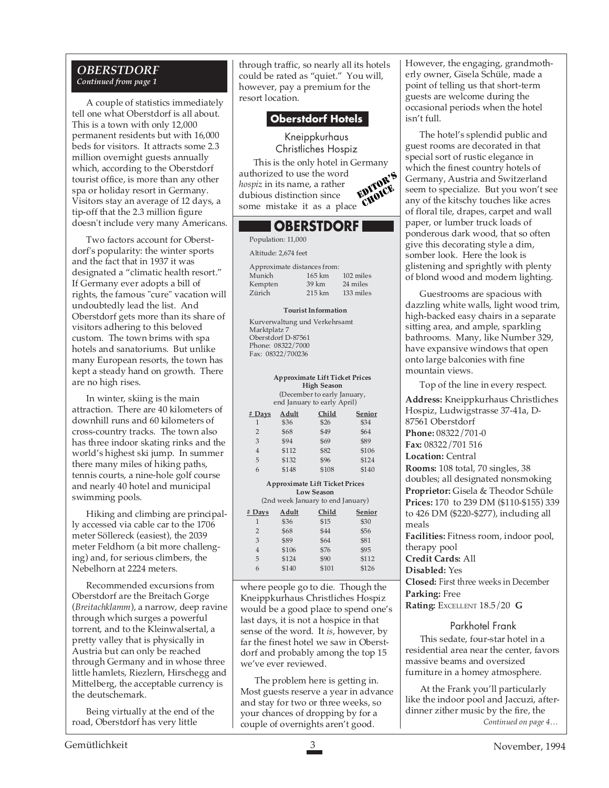#### *OBERSTDORF Continued from page 1*

A couple of statistics immediately tell one what Oberstdorf is all about. This is a town with only 12,000 permanent residents but with 16,000 beds for visitors. It attracts some 2.3 million overnight guests annually which, according to the Oberstdorf tourist office, is more than any other spa or holiday resort in Germany. Visitors stay an average of 12 days, a tip-off that the 2.3 million figure doesn't include very many Americans.

Two factors account for Oberstdorf's popularity: the winter sports and the fact that in 1937 it was designated a "climatic health resort." If Germany ever adopts a bill of rights, the famous "cure" vacation will undoubtedly lead the list. And Oberstdorf gets more than its share of visitors adhering to this beloved custom. The town brims with spa hotels and sanatoriums. But unlike many European resorts, the town has kept a steady hand on growth. There are no high rises.

In winter, skiing is the main attraction. There are 40 kilometers of downhill runs and 60 kilometers of cross-country tracks. The town also has three indoor skating rinks and the world's highest ski jump. In summer there many miles of hiking paths, tennis courts, a nine-hole golf course and nearly 40 hotel and municipal swimming pools.

Hiking and climbing are principally accessed via cable car to the 1706 meter Söllereck (easiest), the 2039 meter Feldhorn (a bit more challenging) and, for serious climbers, the Nebelhorn at 2224 meters.

Recommended excursions from Oberstdorf are the Breitach Gorge (*Breitachklamm*), a narrow, deep ravine through which surges a powerful torrent, and to the Kleinwalsertal, a pretty valley that is physically in Austria but can only be reached through Germany and in whose three little hamlets, Riezlern, Hirschegg and Mittelberg, the acceptable currency is the deutschemark.

Being virtually at the end of the road, Oberstdorf has very little

through traffic, so nearly all its hotels could be rated as "quiet." You will, however, pay a premium for the resort location.

#### **Oberstdorf Hotels**

Kneippkurhaus Christliches Hospiz This is the only hotel in Germany authorized to use the word *hospiz* in its name, a rather dubious distinction since nospiz in its name, a rather<br>dubious distinction since<br>some mistake it as a place CHOICE EDITOR'S

### **OBERSTDORF**

Population: 11,000 Altitude: 2,674 feet Approximate distances from:

| дрртолинате симансем попи |                   |           |  |
|---------------------------|-------------------|-----------|--|
| Munich                    | $165 \text{ km}$  | 102 miles |  |
| Kempten                   | 39 km             | 24 miles  |  |
| Zürich                    | $215 \mathrm{km}$ | 133 miles |  |
|                           |                   |           |  |

#### **Tourist Information**

Kurverwaltung und Verkehrsamt Marktplatz 7 Oberstdorf D-87561 Phone: 08322/7000 Fax: 08322/700236

#### **Approximate Lift Ticket Prices High Season** (December to early January,

| end January to early April) |       |       |        |
|-----------------------------|-------|-------|--------|
| $#$ Days                    | Adult | Child | Senior |
| 1                           | \$36  | \$26  | \$34   |
| $\overline{2}$              | \$68  | \$49  | \$64   |
| 3                           | \$94  | \$69  | \$89   |
| 4                           | \$112 | \$82  | \$106  |
| 5                           | \$132 | \$96  | \$124  |
| 6                           | \$148 | \$108 | \$140  |

#### **Approximate Lift Ticket Prices Low Season**

(2nd week January to end January)

| $#$ Days       | Adult | Child | Senior |
|----------------|-------|-------|--------|
| 1              | \$36  | \$15  | \$30   |
| $\overline{2}$ | \$68  | \$44  | \$56   |
| 3              | \$89  | \$64  | \$81   |
| 4              | \$106 | \$76  | \$95   |
| 5              | \$124 | \$90  | \$112  |
| 6              | \$140 | \$101 | \$126  |

where people go to die. Though the Kneippkurhaus Christliches Hospiz would be a good place to spend one's last days, it is not a hospice in that sense of the word. It *is*, however, by far the finest hotel we saw in Oberstdorf and probably among the top 15 we've ever reviewed.

The problem here is getting in. Most guests reserve a year in advance and stay for two or three weeks, so your chances of dropping by for a couple of overnights aren't good.

However, the engaging, grandmotherly owner, Gisela Schüle, made a point of telling us that short-term guests are welcome during the occasional periods when the hotel isn't full.

The hotel's splendid public and guest rooms are decorated in that special sort of rustic elegance in which the finest country hotels of Germany, Austria and Switzerland seem to specialize. But you won't see any of the kitschy touches like acres of floral tile, drapes, carpet and wall paper, or lumber truck loads of ponderous dark wood, that so often give this decorating style a dim, somber look. Here the look is glistening and sprightly with plenty of blond wood and modern lighting.

Guestrooms are spacious with dazzling white walls, light wood trim, high-backed easy chairs in a separate sitting area, and ample, sparkling bathrooms. Many, like Number 329, have expansive windows that open onto large balconies with fine mountain views.

Top of the line in every respect. **Address:** Kneippkurhaus Christliches Hospiz, Ludwigstrasse 37-41a, D-87561 Oberstdorf **Phone:** 08322/701-0 **Fax:** 08322/701 516 **Location:** Central **Rooms:** 108 total, 70 singles, 38 doubles; all designated nonsmoking **Proprietor:** Gisela & Theodor Schüle **Prices:** 170 to 239 DM (\$110-\$155) 339 to 426 DM (\$220-\$277), including all meals

**Facilities:** Fitness room, indoor pool, therapy pool

**Credit Cards:** All

#### **Disabled:** Yes

**Closed:** First three weeks in December **Parking:** Free

**Rating:** EXCELLENT 18.5/20 **G**

#### Parkhotel Frank

This sedate, four-star hotel in a residential area near the center, favors massive beams and oversized furniture in a homey atmosphere.

*Continued on page 4…* At the Frank you'll particularly like the indoor pool and Jaccuzi, afterdinner zither music by the fire, the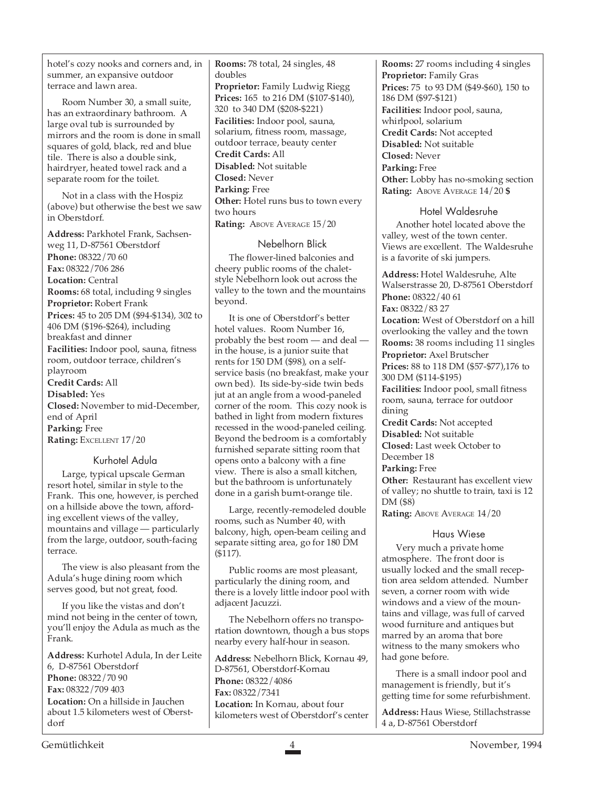hotel's cozy nooks and corners and, in summer, an expansive outdoor terrace and lawn area.

Room Number 30, a small suite, has an extraordinary bathroom. A large oval tub is surrounded by mirrors and the room is done in small squares of gold, black, red and blue tile. There is also a double sink, hairdryer, heated towel rack and a separate room for the toilet.

Not in a class with the Hospiz (above) but otherwise the best we saw in Oberstdorf.

**Address:** Parkhotel Frank, Sachsenweg 11, D-87561 Oberstdorf **Phone:** 08322/70 60 **Fax:** 08322/706 286 **Location:** Central **Rooms:** 68 total, including 9 singles **Proprietor:** Robert Frank **Prices:** 45 to 205 DM (\$94-\$134), 302 to 406 DM (\$196-\$264), including breakfast and dinner **Facilities:** Indoor pool, sauna, fitness room, outdoor terrace, children's playroom **Credit Cards:** All **Disabled:** Yes **Closed:** November to mid-December, end of April **Parking:** Free **Rating:** EXCELLENT 17/20

#### Kurhotel Adula

Large, typical upscale German resort hotel, similar in style to the Frank. This one, however, is perched on a hillside above the town, affording excellent views of the valley, mountains and village — particularly from the large, outdoor, south-facing terrace.

The view is also pleasant from the Adula's huge dining room which serves good, but not great, food.

If you like the vistas and don't mind not being in the center of town, you'll enjoy the Adula as much as the Frank.

**Address:** Kurhotel Adula, In der Leite 6, D-87561 Oberstdorf **Phone:** 08322/70 90 **Fax:** 08322/709 403 **Location:** On a hillside in Jauchen about 1.5 kilometers west of Oberstdorf

**Rooms:** 78 total, 24 singles, 48 doubles **Proprietor:** Family Ludwig Riegg **Prices:** 165 to 216 DM (\$107-\$140), 320 to 340 DM (\$208-\$221) **Facilities:** Indoor pool, sauna, solarium, fitness room, massage, outdoor terrace, beauty center **Credit Cards:** All **Disabled:** Not suitable **Closed:** Never **Parking:** Free **Other:** Hotel runs bus to town every two hours Rating: ABOVE AVERAGE  $15/20$ 

Nebelhorn Blick The flower-lined balconies and cheery public rooms of the chaletstyle Nebelhorn look out across the valley to the town and the mountains beyond.

It is one of Oberstdorf's better hotel values. Room Number 16, probably the best room — and deal in the house, is a junior suite that rents for 150 DM (\$98), on a selfservice basis (no breakfast, make your own bed). Its side-by-side twin beds jut at an angle from a wood-paneled corner of the room. This cozy nook is bathed in light from modern fixtures recessed in the wood-paneled ceiling. Beyond the bedroom is a comfortably furnished separate sitting room that opens onto a balcony with a fine view. There is also a small kitchen, but the bathroom is unfortunately done in a garish burnt-orange tile.

Large, recently-remodeled double rooms, such as Number 40, with balcony, high, open-beam ceiling and separate sitting area, go for 180 DM (\$117).

Public rooms are most pleasant, particularly the dining room, and there is a lovely little indoor pool with adjacent Jacuzzi.

The Nebelhorn offers no transportation downtown, though a bus stops nearby every half-hour in season.

**Address:** Nebelhorn Blick, Kornau 49, D-87561, Oberstdorf-Kornau **Phone:** 08322/4086 **Fax:** 08322/7341 **Location:** In Kornau, about four kilometers west of Oberstdorf's center **Rooms:** 27 rooms including 4 singles **Proprietor:** Family Gras **Prices:** 75 to 93 DM (\$49-\$60), 150 to 186 DM (\$97-\$121) **Facilities:** Indoor pool, sauna, whirlpool, solarium **Credit Cards:** Not accepted **Disabled:** Not suitable **Closed:** Never **Parking:** Free **Other:** Lobby has no-smoking section **Rating:** ABOVE AVERAGE 14/20 **\$**

#### Hotel Waldesruhe

Another hotel located above the valley, west of the town center. Views are excellent. The Waldesruhe is a favorite of ski jumpers.

**Address:** Hotel Waldesruhe, Alte Walserstrasse 20, D-87561 Oberstdorf **Phone:** 08322/40 61 **Fax:** 08322/83 27 **Location:** West of Oberstdorf on a hill overlooking the valley and the town **Rooms:** 38 rooms including 11 singles **Proprietor:** Axel Brutscher **Prices:** 88 to 118 DM (\$57-\$77),176 to 300 DM (\$114-\$195) **Facilities:** Indoor pool, small fitness room, sauna, terrace for outdoor dining **Credit Cards:** Not accepted **Disabled:** Not suitable **Closed:** Last week October to December 18 **Parking:** Free **Other:** Restaurant has excellent view

of valley; no shuttle to train, taxi is 12 DM (\$8)

**Rating: ABOVE AVERAGE 14/20** 

#### Haus Wiese

Very much a private home atmosphere. The front door is usually locked and the small reception area seldom attended. Number seven, a corner room with wide windows and a view of the mountains and village, was full of carved wood furniture and antiques but marred by an aroma that bore witness to the many smokers who had gone before.

There is a small indoor pool and management is friendly, but it's getting time for some refurbishment.

**Address:** Haus Wiese, Stillachstrasse 4 a, D-87561 Oberstdorf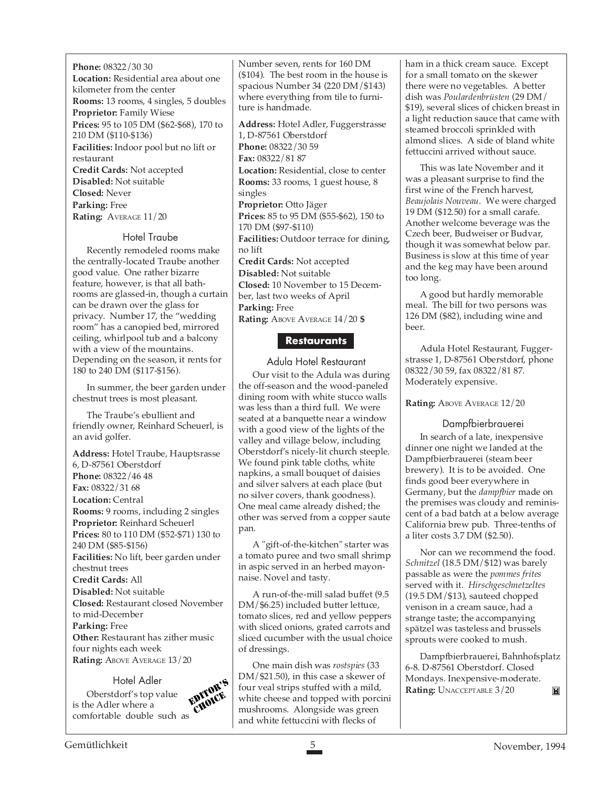**Phone:** 08322/30 30 **Location:** Residential area about one kilometer from the center **Rooms:** 13 rooms, 4 singles, 5 doubles **Proprietor:** Family Wiese **Prices:** 95 to 105 DM (\$62-\$68), 170 to 210 DM (\$110-\$136) **Facilities:** Indoor pool but no lift or restaurant **Credit Cards:** Not accepted **Disabled:** Not suitable **Closed:** Never **Parking:** Free **Rating:** AVERAGE 11/20

#### Hotel Traube

Recently remodeled rooms make the centrally-located Traube another good value. One rather bizarre feature, however, is that all bathrooms are glassed-in, though a curtain can be drawn over the glass for privacy. Number 17, the "wedding room" has a canopied bed, mirrored ceiling, whirlpool tub and a balcony with a view of the mountains. Depending on the season, it rents for 180 to 240 DM (\$117-\$156).

In summer, the beer garden under chestnut trees is most pleasant.

The Traube's ebullient and friendly owner, Reinhard Scheuerl, is an avid golfer.

**Address:** Hotel Traube, Hauptsrasse 6, D-87561 Oberstdorf **Phone:** 08322/46 48 **Fax:** 08322/31 68 **Location:** Central **Rooms:** 9 rooms, including 2 singles **Proprietor:** Reinhard Scheuerl **Prices:** 80 to 110 DM (\$52-\$71) 130 to 240 DM (\$85-\$156) **Facilities:** No lift, beer garden under chestnut trees **Credit Cards:** All **Disabled:** Not suitable **Closed:** Restaurant closed November to mid-December **Parking:** Free **Other:** Restaurant has zither music four nights each week **Rating: ABOVE AVERAGE 13/20** 

Hotel Adler Oberstdorf's top value is the Adler where a comfortable double such as EDITOR'S Number seven, rents for 160 DM (\$104). The best room in the house is spacious Number 34 (220 DM/\$143) where everything from tile to furniture is handmade.

**Address:** Hotel Adler, Fuggerstrasse 1, D-87561 Oberstdorf **Phone:** 08322/30 59 **Fax:** 08322/81 87 **Location:** Residential, close to center **Rooms:** 33 rooms, 1 guest house, 8 singles **Proprietor:** Otto Jäger **Prices:** 85 to 95 DM (\$55-\$62), 150 to 170 DM (\$97-\$110) **Facilities:** Outdoor terrace for dining, no lift **Credit Cards:** Not accepted **Disabled:** Not suitable **Closed:** 10 November to 15 December, last two weeks of April **Parking:** Free **Rating:** ABOVE AVERAGE 14/20 **\$**

#### **Restaurants**

Adula Hotel Restaurant Our visit to the Adula was during the off-season and the wood-paneled dining room with white stucco walls was less than a third full. We were seated at a banquette near a window with a good view of the lights of the valley and village below, including Oberstdorf's nicely-lit church steeple. We found pink table cloths, white napkins, a small bouquet of daisies and silver salvers at each place (but no silver covers, thank goodness). One meal came already dished; the other was served from a copper saute pan.

A "gift-of-the-kitchen" starter was a tomato puree and two small shrimp in aspic served in an herbed mayonnaise. Novel and tasty.

A run-of-the-mill salad buffet (9.5 DM/\$6.25) included butter lettuce, tomato slices, red and yellow peppers with sliced onions, grated carrots and sliced cucumber with the usual choice of dressings.

One main dish was *rostspies* (33 DM/\$21.50), in this case a skewer of  $\mathbf{R} = \begin{bmatrix} \nabla \mathbf{R} & \nabla \mathbf{R} \\
\mathbf{R} & \nabla \mathbf{R} \\
\mathbf{R} & \nabla \mathbf{R} \\
\mathbf{R} & \nabla \mathbf{R} \\
\mathbf{R} & \nabla \mathbf{R} \\
\mathbf{R} & \nabla \mathbf{R} \\
\mathbf{R} & \nabla \mathbf{R} \\
\mathbf{R} & \nabla \mathbf{R} \\
\mathbf{R} & \nabla \mathbf{R} \\
\mathbf{R} & \nabla \mathbf{R} \\
\mathbf$ white cheese and topped with porcini mushrooms. Alongside was green and white fettuccini with flecks of

ham in a thick cream sauce. Except for a small tomato on the skewer there were no vegetables. A better dish was *Poulardenbrüsten* (29 DM/ \$19), several slices of chicken breast in a light reduction sauce that came with steamed broccoli sprinkled with almond slices. A side of bland white fettuccini arrived without sauce.

This was late November and it was a pleasant surprise to find the first wine of the French harvest, *Beaujolais Nouveau*. We were charged 19 DM (\$12.50) for a small carafe. Another welcome beverage was the Czech beer, Budweiser or Budvar, though it was somewhat below par. Business is slow at this time of year and the keg may have been around too long.

A good but hardly memorable meal. The bill for two persons was 126 DM (\$82), including wine and beer.

Adula Hotel Restaurant, Fuggerstrasse 1, D-87561 Oberstdorf, phone 08322/30 59, fax 08322/81 87. Moderately expensive.

#### **Rating: ABOVE AVERAGE 12/20**

#### Dampfbierbrauerei

In search of a late, inexpensive dinner one night we landed at the Dampfbierbrauerei (steam beer brewery). It is to be avoided. One finds good beer everywhere in Germany, but the *dampfbier* made on the premises was cloudy and reminiscent of a bad batch at a below average California brew pub. Three-tenths of a liter costs 3.7 DM (\$2.50).

Nor can we recommend the food. *Schnitzel* (18.5 DM/\$12) was barely passable as were the *pommes frites* served with it. *Hirschgeschnetzeltes* (19.5 DM/\$13), sauteed chopped venison in a cream sauce, had a strange taste; the accompanying spätzel was tasteless and brussels sprouts were cooked to mush.

Dampfbierbrauerei, Bahnhofsplatz 6-8. D-87561 Oberstdorf. Closed Mondays. Inexpensive-moderate. M

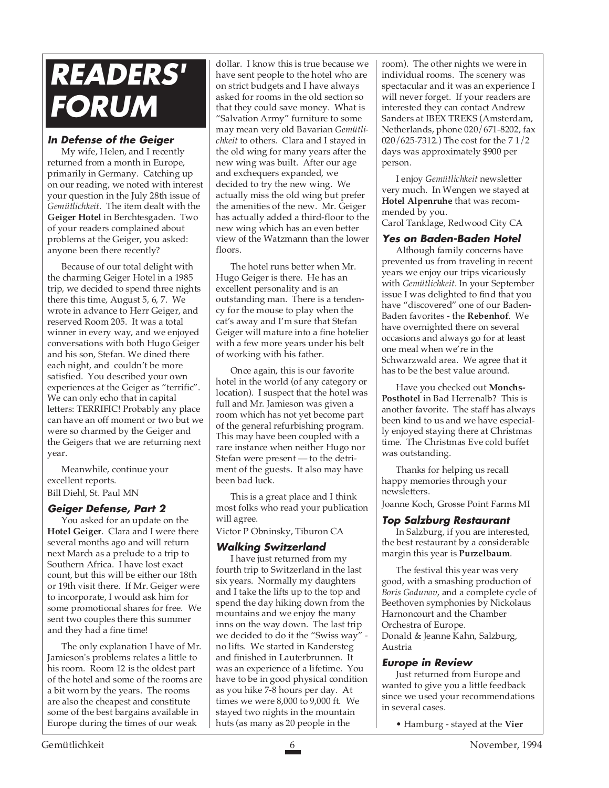# **READERS' FORUM**

#### **In Defense of the Geiger**

My wife, Helen, and I recently returned from a month in Europe, primarily in Germany. Catching up on our reading, we noted with interest your question in the July 28th issue of *Gemütlichkeit*. The item dealt with the **Geiger Hotel** in Berchtesgaden. Two of your readers complained about problems at the Geiger, you asked: anyone been there recently?

Because of our total delight with the charming Geiger Hotel in a 1985 trip, we decided to spend three nights there this time, August 5, 6, 7. We wrote in advance to Herr Geiger, and reserved Room 205. It was a total winner in every way, and we enjoyed conversations with both Hugo Geiger and his son, Stefan. We dined there each night, and couldn't be more satisfied. You described your own experiences at the Geiger as "terrific". We can only echo that in capital letters: TERRIFIC! Probably any place can have an off moment or two but we were so charmed by the Geiger and the Geigers that we are returning next year.

Meanwhile, continue your excellent reports. Bill Diehl, St. Paul MN

#### **Geiger Defense, Part 2**

You asked for an update on the **Hotel Geiger**. Clara and I were there several months ago and will return next March as a prelude to a trip to Southern Africa. I have lost exact count, but this will be either our 18th or 19th visit there. If Mr. Geiger were to incorporate, I would ask him for some promotional shares for free. We sent two couples there this summer and they had a fine time!

The only explanation I have of Mr. Jamieson's problems relates a little to his room. Room 12 is the oldest part of the hotel and some of the rooms are a bit worn by the years. The rooms are also the cheapest and constitute some of the best bargains available in Europe during the times of our weak

dollar. I know this is true because we have sent people to the hotel who are on strict budgets and I have always asked for rooms in the old section so that they could save money. What is "Salvation Army" furniture to some may mean very old Bavarian *Gemütlichkeit* to others. Clara and I stayed in the old wing for many years after the new wing was built. After our age and exchequers expanded, we decided to try the new wing. We actually miss the old wing but prefer the amenities of the new. Mr. Geiger has actually added a third-floor to the new wing which has an even better view of the Watzmann than the lower floors.

The hotel runs better when Mr. Hugo Geiger is there. He has an excellent personality and is an outstanding man. There is a tendency for the mouse to play when the cat's away and I'm sure that Stefan Geiger will mature into a fine hotelier with a few more years under his belt of working with his father.

Once again, this is our favorite hotel in the world (of any category or location). I suspect that the hotel was full and Mr. Jamieson was given a room which has not yet become part of the general refurbishing program. This may have been coupled with a rare instance when neither Hugo nor Stefan were present — to the detriment of the guests. It also may have been bad luck.

This is a great place and I think most folks who read your publication will agree.

Victor P Obninsky, Tiburon CA

#### **Walking Switzerland**

I have just returned from my fourth trip to Switzerland in the last six years. Normally my daughters and I take the lifts up to the top and spend the day hiking down from the mountains and we enjoy the many inns on the way down. The last trip we decided to do it the "Swiss way" no lifts. We started in Kandersteg and finished in Lauterbrunnen. It was an experience of a lifetime. You have to be in good physical condition as you hike 7-8 hours per day. At times we were 8,000 to 9,000 ft. We stayed two nights in the mountain huts (as many as 20 people in the

room). The other nights we were in individual rooms. The scenery was spectacular and it was an experience I will never forget. If your readers are interested they can contact Andrew Sanders at IBEX TREKS (Amsterdam, Netherlands, phone 020/671-8202, fax 020/625-7312.) The cost for the 7 1/2 days was approximately \$900 per person.

I enjoy *Gemütlichkeit* newsletter very much. In Wengen we stayed at **Hotel Alpenruhe** that was recommended by you.

Carol Tanklage, Redwood City CA

#### **Yes on Baden-Baden Hotel**

Although family concerns have prevented us from traveling in recent years we enjoy our trips vicariously with *Gemütlichkeit*. In your September issue I was delighted to find that you have "discovered" one of our Baden-Baden favorites - the **Rebenhof**. We have overnighted there on several occasions and always go for at least one meal when we're in the Schwarzwald area. We agree that it has to be the best value around.

Have you checked out **Monchs-Posthotel** in Bad Herrenalb? This is another favorite. The staff has always been kind to us and we have especially enjoyed staying there at Christmas time. The Christmas Eve cold buffet was outstanding.

Thanks for helping us recall happy memories through your newsletters.

Joanne Koch, Grosse Point Farms MI

#### **Top Salzburg Restaurant**

In Salzburg, if you are interested, the best restaurant by a considerable margin this year is **Purzelbaum**.

The festival this year was very good, with a smashing production of *Boris Godunov*, and a complete cycle of Beethoven symphonies by Nickolaus Harnoncourt and the Chamber Orchestra of Europe. Donald & Jeanne Kahn, Salzburg, Austria

#### **Europe in Review**

Just returned from Europe and wanted to give you a little feedback since we used your recommendations in several cases.

• Hamburg - stayed at the **Vier**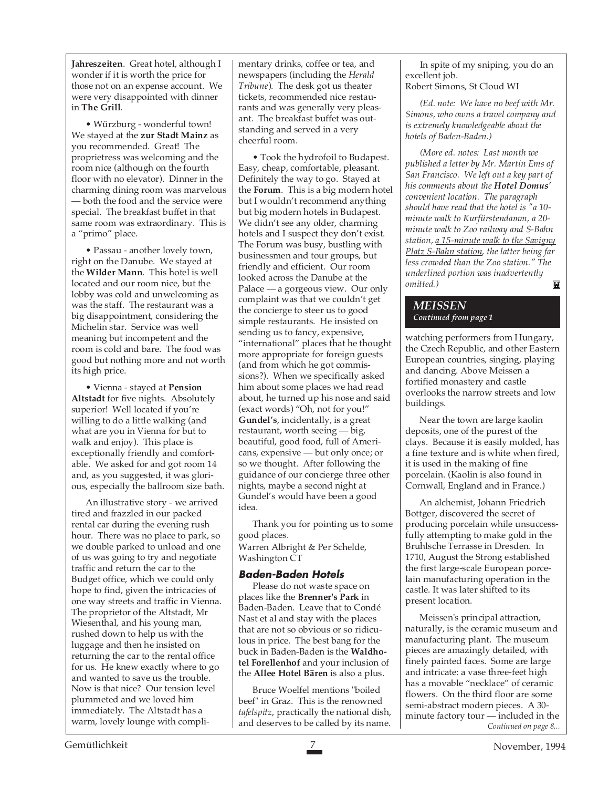**Jahreszeiten**. Great hotel, although I wonder if it is worth the price for those not on an expense account. We were very disappointed with dinner in **The Grill**.

• Würzburg - wonderful town! We stayed at the **zur Stadt Mainz** as you recommended. Great! The proprietress was welcoming and the room nice (although on the fourth floor with no elevator). Dinner in the charming dining room was marvelous — both the food and the service were special. The breakfast buffet in that same room was extraordinary. This is a "primo" place.

• Passau - another lovely town, right on the Danube. We stayed at the **Wilder Mann**. This hotel is well located and our room nice, but the lobby was cold and unwelcoming as was the staff. The restaurant was a big disappointment, considering the Michelin star. Service was well meaning but incompetent and the room is cold and bare. The food was good but nothing more and not worth its high price.

• Vienna - stayed at **Pension Altstadt** for five nights. Absolutely superior! Well located if you're willing to do a little walking (and what are you in Vienna for but to walk and enjoy). This place is exceptionally friendly and comfortable. We asked for and got room 14 and, as you suggested, it was glorious, especially the ballroom size bath.

An illustrative story - we arrived tired and frazzled in our packed rental car during the evening rush hour. There was no place to park, so we double parked to unload and one of us was going to try and negotiate traffic and return the car to the Budget office, which we could only hope to find, given the intricacies of one way streets and traffic in Vienna. The proprietor of the Altstadt, Mr Wiesenthal, and his young man, rushed down to help us with the luggage and then he insisted on returning the car to the rental office for us. He knew exactly where to go and wanted to save us the trouble. Now is that nice? Our tension level plummeted and we loved him immediately. The Altstadt has a warm, lovely lounge with compli-

mentary drinks, coffee or tea, and newspapers (including the *Herald Tribune*). The desk got us theater tickets, recommended nice restaurants and was generally very pleasant. The breakfast buffet was outstanding and served in a very cheerful room.

• Took the hydrofoil to Budapest. Easy, cheap, comfortable, pleasant. Definitely the way to go. Stayed at the **Forum**. This is a big modern hotel but I wouldn't recommend anything but big modern hotels in Budapest. We didn't see any older, charming hotels and I suspect they don't exist. The Forum was busy, bustling with businessmen and tour groups, but friendly and efficient. Our room looked across the Danube at the Palace — a gorgeous view. Our only complaint was that we couldn't get the concierge to steer us to good simple restaurants. He insisted on sending us to fancy, expensive, "international" places that he thought more appropriate for foreign guests (and from which he got commissions?). When we specifically asked him about some places we had read about, he turned up his nose and said (exact words) "Oh, not for you!" **Gundel's**, incidentally, is a great restaurant, worth seeing — big, beautiful, good food, full of Americans, expensive — but only once; or so we thought. After following the guidance of our concierge three other nights, maybe a second night at Gundel's would have been a good idea.

Thank you for pointing us to some good places.

Warren Albright & Per Schelde, Washington CT

#### **Baden-Baden Hotels**

Please do not waste space on places like the **Brenner's Park** in Baden-Baden. Leave that to Condé Nast et al and stay with the places that are not so obvious or so ridiculous in price. The best bang for the buck in Baden-Baden is the **Waldhotel Forellenhof** and your inclusion of the **Allee Hotel Bären** is also a plus.

Bruce Woelfel mentions "boiled beef" in Graz. This is the renowned *tafelspitz*, practically the national dish, and deserves to be called by its name.

In spite of my sniping, you do an excellent job. Robert Simons, St Cloud WI

*(Ed. note: We have no beef with Mr. Simons, who owns a travel company and is extremely knowledgeable about the hotels of Baden-Baden.)*

*(More ed. notes: Last month we published a letter by Mr. Martin Ems of San Francisco. We left out a key part of his comments about the Hotel Domus' convenient location. The paragraph should have read that the hotel is "a 10 minute walk to Kurfürstendamm, a 20 minute walk to Zoo railway and S-Bahn station, a 15-minute walk to the Savigny Platz S-Bahn station, the latter being far less crowded than the Zoo station." The underlined portion was inadvertently omitted.)* ĬX

#### *MEISSEN Continued from page 1*

watching performers from Hungary, the Czech Republic, and other Eastern European countries, singing, playing and dancing. Above Meissen a fortified monastery and castle overlooks the narrow streets and low buildings.

Near the town are large kaolin deposits, one of the purest of the clays. Because it is easily molded, has a fine texture and is white when fired, it is used in the making of fine porcelain. (Kaolin is also found in Cornwall, England and in France.)

An alchemist, Johann Friedrich Bottger, discovered the secret of producing porcelain while unsuccessfully attempting to make gold in the Bruhlsche Terrasse in Dresden. In 1710, August the Strong established the first large-scale European porcelain manufacturing operation in the castle. It was later shifted to its present location.

*Continued on page 8...* Meissen's principal attraction, naturally, is the ceramic museum and manufacturing plant. The museum pieces are amazingly detailed, with finely painted faces. Some are large and intricate: a vase three-feet high has a movable "necklace" of ceramic flowers. On the third floor are some semi-abstract modern pieces. A 30 minute factory tour — included in the